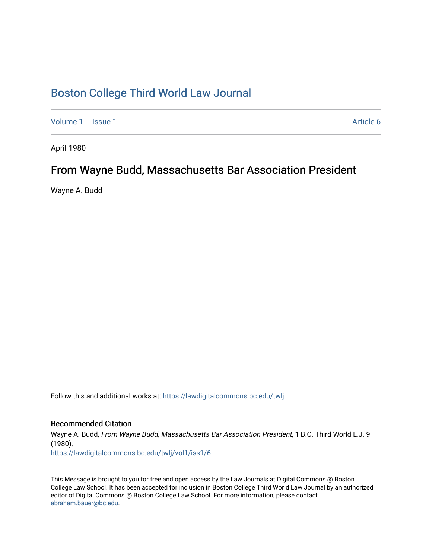## [Boston College Third World Law Journal](https://lawdigitalcommons.bc.edu/twlj)

[Volume 1](https://lawdigitalcommons.bc.edu/twlj/vol1) | [Issue 1](https://lawdigitalcommons.bc.edu/twlj/vol1/iss1) Article 6

April 1980

## From Wayne Budd, Massachusetts Bar Association President

Wayne A. Budd

Follow this and additional works at: [https://lawdigitalcommons.bc.edu/twlj](https://lawdigitalcommons.bc.edu/twlj?utm_source=lawdigitalcommons.bc.edu%2Ftwlj%2Fvol1%2Fiss1%2F6&utm_medium=PDF&utm_campaign=PDFCoverPages) 

## Recommended Citation

Wayne A. Budd, From Wayne Budd, Massachusetts Bar Association President, 1 B.C. Third World L.J. 9 (1980), [https://lawdigitalcommons.bc.edu/twlj/vol1/iss1/6](https://lawdigitalcommons.bc.edu/twlj/vol1/iss1/6?utm_source=lawdigitalcommons.bc.edu%2Ftwlj%2Fvol1%2Fiss1%2F6&utm_medium=PDF&utm_campaign=PDFCoverPages) 

This Message is brought to you for free and open access by the Law Journals at Digital Commons @ Boston College Law School. It has been accepted for inclusion in Boston College Third World Law Journal by an authorized editor of Digital Commons @ Boston College Law School. For more information, please contact [abraham.bauer@bc.edu.](mailto:abraham.bauer@bc.edu)